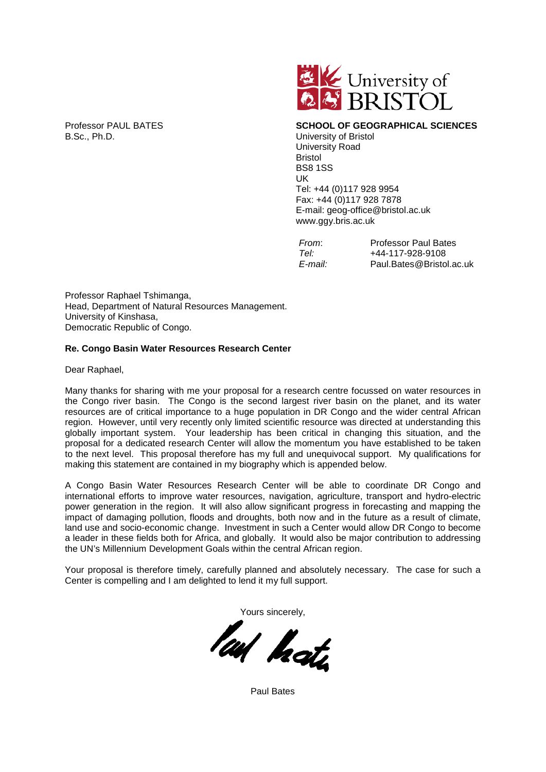

Professor PAUL BATES **SCHOOL OF GEOGRAPHICAL SCIENCES University of Bristol** University Road Bristol BS8 1SS UK Tel: +44 (0)117 928 9954 Fax: +44 (0)117 928 7878 E-mail: geog-office@bristol.ac.uk www.ggy.bris.ac.uk

| From:   | <b>Professor Paul Bates</b> |
|---------|-----------------------------|
| Tel:    | +44-117-928-9108            |
| E-mail: | Paul.Bates@Bristol.ac.uk    |

Professor Raphael Tshimanga, Head, Department of Natural Resources Management. University of Kinshasa, Democratic Republic of Congo.

## **Re. Congo Basin Water Resources Research Center**

Dear Raphael,

Many thanks for sharing with me your proposal for a research centre focussed on water resources in the Congo river basin. The Congo is the second largest river basin on the planet, and its water resources are of critical importance to a huge population in DR Congo and the wider central African region. However, until very recently only limited scientific resource was directed at understanding this globally important system. Your leadership has been critical in changing this situation, and the proposal for a dedicated research Center will allow the momentum you have established to be taken to the next level. This proposal therefore has my full and unequivocal support. My qualifications for making this statement are contained in my biography which is appended below.

A Congo Basin Water Resources Research Center will be able to coordinate DR Congo and international efforts to improve water resources, navigation, agriculture, transport and hydro-electric power generation in the region. It will also allow significant progress in forecasting and mapping the impact of damaging pollution, floods and droughts, both now and in the future as a result of climate, land use and socio-economic change. Investment in such a Center would allow DR Congo to become a leader in these fields both for Africa, and globally. It would also be major contribution to addressing the UN's Millennium Development Goals within the central African region.

Your proposal is therefore timely, carefully planned and absolutely necessary. The case for such a Center is compelling and I am delighted to lend it my full support.

Yours sincerely,

leaf hate

Paul Bates